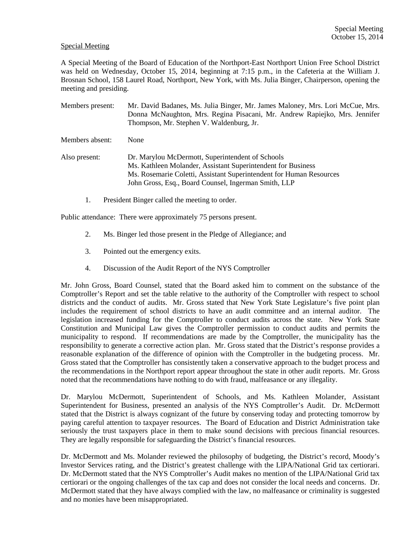## Special Meeting

A Special Meeting of the Board of Education of the Northport-East Northport Union Free School District was held on Wednesday, October 15, 2014, beginning at 7:15 p.m., in the Cafeteria at the William J. Brosnan School, 158 Laurel Road, Northport, New York, with Ms. Julia Binger, Chairperson, opening the meeting and presiding.

| Members present: | Mr. David Badanes, Ms. Julia Binger, Mr. James Maloney, Mrs. Lori McCue, Mrs.<br>Donna McNaughton, Mrs. Regina Pisacani, Mr. Andrew Rapiejko, Mrs. Jennifer<br>Thompson, Mr. Stephen V. Waldenburg, Jr.                                         |
|------------------|-------------------------------------------------------------------------------------------------------------------------------------------------------------------------------------------------------------------------------------------------|
| Members absent:  | None                                                                                                                                                                                                                                            |
| Also present:    | Dr. Marylou McDermott, Superintendent of Schools<br>Ms. Kathleen Molander, Assistant Superintendent for Business<br>Ms. Rosemarie Coletti, Assistant Superintendent for Human Resources<br>John Gross, Esq., Board Counsel, Ingerman Smith, LLP |

1. President Binger called the meeting to order.

Public attendance: There were approximately 75 persons present.

- 2. Ms. Binger led those present in the Pledge of Allegiance; and
- 3. Pointed out the emergency exits.
- 4. Discussion of the Audit Report of the NYS Comptroller

Mr. John Gross, Board Counsel, stated that the Board asked him to comment on the substance of the Comptroller's Report and set the table relative to the authority of the Comptroller with respect to school districts and the conduct of audits. Mr. Gross stated that New York State Legislature's five point plan includes the requirement of school districts to have an audit committee and an internal auditor. The legislation increased funding for the Comptroller to conduct audits across the state. New York State Constitution and Municipal Law gives the Comptroller permission to conduct audits and permits the municipality to respond. If recommendations are made by the Comptroller, the municipality has the responsibility to generate a corrective action plan. Mr. Gross stated that the District's response provides a reasonable explanation of the difference of opinion with the Comptroller in the budgeting process. Mr. Gross stated that the Comptroller has consistently taken a conservative approach to the budget process and the recommendations in the Northport report appear throughout the state in other audit reports. Mr. Gross noted that the recommendations have nothing to do with fraud, malfeasance or any illegality.

Dr. Marylou McDermott, Superintendent of Schools, and Ms. Kathleen Molander, Assistant Superintendent for Business, presented an analysis of the NYS Comptroller's Audit. Dr. McDermott stated that the District is always cognizant of the future by conserving today and protecting tomorrow by paying careful attention to taxpayer resources. The Board of Education and District Administration take seriously the trust taxpayers place in them to make sound decisions with precious financial resources. They are legally responsible for safeguarding the District's financial resources.

Dr. McDermott and Ms. Molander reviewed the philosophy of budgeting, the District's record, Moody's Investor Services rating, and the District's greatest challenge with the LIPA/National Grid tax certiorari. Dr. McDermott stated that the NYS Comptroller's Audit makes no mention of the LIPA/National Grid tax certiorari or the ongoing challenges of the tax cap and does not consider the local needs and concerns. Dr. McDermott stated that they have always complied with the law, no malfeasance or criminality is suggested and no monies have been misappropriated.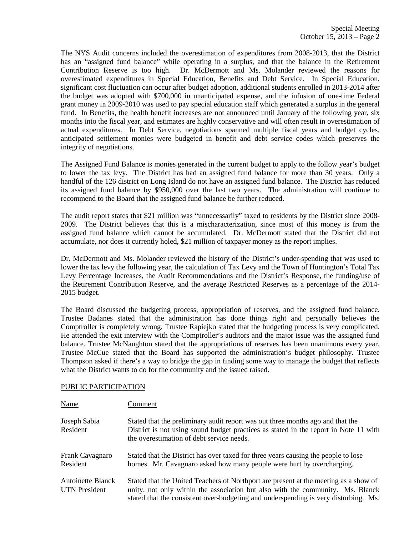The NYS Audit concerns included the overestimation of expenditures from 2008-2013, that the District has an "assigned fund balance" while operating in a surplus, and that the balance in the Retirement Contribution Reserve is too high. Dr. McDermott and Ms. Molander reviewed the reasons for overestimated expenditures in Special Education, Benefits and Debt Service. In Special Education, significant cost fluctuation can occur after budget adoption, additional students enrolled in 2013-2014 after the budget was adopted with \$700,000 in unanticipated expense, and the infusion of one-time Federal grant money in 2009-2010 was used to pay special education staff which generated a surplus in the general fund. In Benefits, the health benefit increases are not announced until January of the following year, six months into the fiscal year, and estimates are highly conservative and will often result in overestimation of actual expenditures. In Debt Service, negotiations spanned multiple fiscal years and budget cycles, anticipated settlement monies were budgeted in benefit and debt service codes which preserves the integrity of negotiations.

The Assigned Fund Balance is monies generated in the current budget to apply to the follow year's budget to lower the tax levy. The District has had an assigned fund balance for more than 30 years. Only a handful of the 126 district on Long Island do not have an assigned fund balance. The District has reduced its assigned fund balance by \$950,000 over the last two years. The administration will continue to recommend to the Board that the assigned fund balance be further reduced.

The audit report states that \$21 million was "unnecessarily" taxed to residents by the District since 2008- 2009. The District believes that this is a mischaracterization, since most of this money is from the assigned fund balance which cannot be accumulated. Dr. McDermott stated that the District did not accumulate, nor does it currently holed, \$21 million of taxpayer money as the report implies.

Dr. McDermott and Ms. Molander reviewed the history of the District's under-spending that was used to lower the tax levy the following year, the calculation of Tax Levy and the Town of Huntington's Total Tax Levy Percentage Increases, the Audit Recommendations and the District's Response, the funding/use of the Retirement Contribution Reserve, and the average Restricted Reserves as a percentage of the 2014- 2015 budget.

The Board discussed the budgeting process, appropriation of reserves, and the assigned fund balance. Trustee Badanes stated that the administration has done things right and personally believes the Comptroller is completely wrong. Trustee Rapiejko stated that the budgeting process is very complicated. He attended the exit interview with the Comptroller's auditors and the major issue was the assigned fund balance. Trustee McNaughton stated that the appropriations of reserves has been unanimous every year. Trustee McCue stated that the Board has supported the administration's budget philosophy. Trustee Thompson asked if there's a way to bridge the gap in finding some way to manage the budget that reflects what the District wants to do for the community and the issued raised.

## PUBLIC PARTICIPATION

| Name                                             | Comment                                                                                                                                                                                                                                                       |
|--------------------------------------------------|---------------------------------------------------------------------------------------------------------------------------------------------------------------------------------------------------------------------------------------------------------------|
| Joseph Sabia<br>Resident                         | Stated that the preliminary audit report was out three months ago and that the<br>District is not using sound budget practices as stated in the report in Note 11 with<br>the overestimation of debt service needs.                                           |
| Frank Cavagnaro<br>Resident                      | Stated that the District has over taxed for three years causing the people to lose<br>homes. Mr. Cavagnaro asked how many people were hurt by overcharging.                                                                                                   |
| <b>Antoinette Blanck</b><br><b>UTN</b> President | Stated that the United Teachers of Northport are present at the meeting as a show of<br>unity, not only within the association but also with the community. Ms. Blanck<br>stated that the consistent over-budgeting and underspending is very disturbing. Ms. |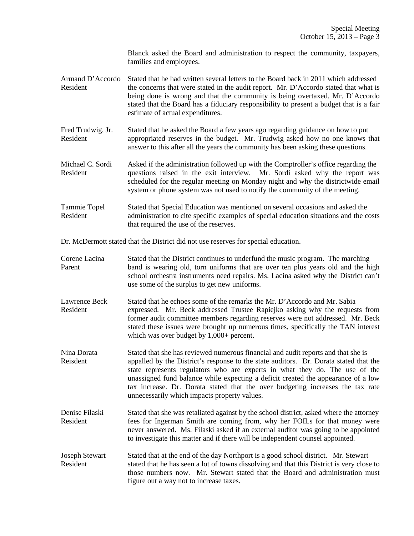Blanck asked the Board and administration to respect the community, taxpayers, families and employees.

- Armand D'Accordo Stated that he had written several letters to the Board back in 2011 which addressed Resident the concerns that were stated in the audit report. Mr. D'Accordo stated that what is being done is wrong and that the community is being overtaxed. Mr. D'Accordo stated that the Board has a fiduciary responsibility to present a budget that is a fair estimate of actual expenditures.
- Fred Trudwig, Jr. Stated that he asked the Board a few years ago regarding guidance on how to put Resident appropriated reserves in the budget. Mr. Trudwig asked how no one knows that answer to this after all the years the community has been asking these questions.
- Michael C. Sordi Asked if the administration followed up with the Comptroller's office regarding the Resident questions raised in the exit interview. Mr. Sordi asked why the report was scheduled for the regular meeting on Monday night and why the districtwide email system or phone system was not used to notify the community of the meeting.
- Tammie Topel Stated that Special Education was mentioned on several occasions and asked the Resident administration to cite specific examples of special education situations and the costs that required the use of the reserves.

Dr. McDermott stated that the District did not use reserves for special education.

- Corene Lacina Stated that the District continues to underfund the music program. The marching Parent band is wearing old, torn uniforms that are over ten plus years old and the high school orchestra instruments need repairs. Ms. Lacina asked why the District can't use some of the surplus to get new uniforms.
- Lawrence Beck Stated that he echoes some of the remarks the Mr. D'Accordo and Mr. Sabia Resident expressed. Mr. Beck addressed Trustee Rapiejko asking why the requests from former audit committee members regarding reserves were not addressed. Mr. Beck stated these issues were brought up numerous times, specifically the TAN interest which was over budget by  $1,000+$  percent.
- Nina Dorata Stated that she has reviewed numerous financial and audit reports and that she is Reisdent appalled by the District's response to the state auditors. Dr. Dorata stated that the state represents regulators who are experts in what they do. The use of the unassigned fund balance while expecting a deficit created the appearance of a low tax increase. Dr. Dorata stated that the over budgeting increases the tax rate unnecessarily which impacts property values.
- Denise Filaski Stated that she was retaliated against by the school district, asked where the attorney Resident fees for Ingerman Smith are coming from, why her FOILs for that money were never answered. Ms. Filaski asked if an external auditor was going to be appointed to investigate this matter and if there will be independent counsel appointed.
- Joseph Stewart Stated that at the end of the day Northport is a good school district. Mr. Stewart Resident stated that he has seen a lot of towns dissolving and that this District is very close to those numbers now. Mr. Stewart stated that the Board and administration must figure out a way not to increase taxes.